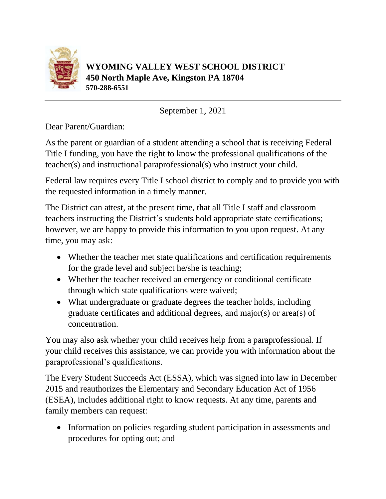

September 1, 2021

Dear Parent/Guardian:

As the parent or guardian of a student attending a school that is receiving Federal Title I funding, you have the right to know the professional qualifications of the teacher(s) and instructional paraprofessional(s) who instruct your child.

Federal law requires every Title I school district to comply and to provide you with the requested information in a timely manner.

The District can attest, at the present time, that all Title I staff and classroom teachers instructing the District's students hold appropriate state certifications; however, we are happy to provide this information to you upon request. At any time, you may ask:

- Whether the teacher met state qualifications and certification requirements for the grade level and subject he/she is teaching;
- Whether the teacher received an emergency or conditional certificate through which state qualifications were waived;
- What undergraduate or graduate degrees the teacher holds, including graduate certificates and additional degrees, and major(s) or area(s) of concentration.

You may also ask whether your child receives help from a paraprofessional. If your child receives this assistance, we can provide you with information about the paraprofessional's qualifications.

The Every Student Succeeds Act (ESSA), which was signed into law in December 2015 and reauthorizes the Elementary and Secondary Education Act of 1956 (ESEA), includes additional right to know requests. At any time, parents and family members can request:

• Information on policies regarding student participation in assessments and procedures for opting out; and